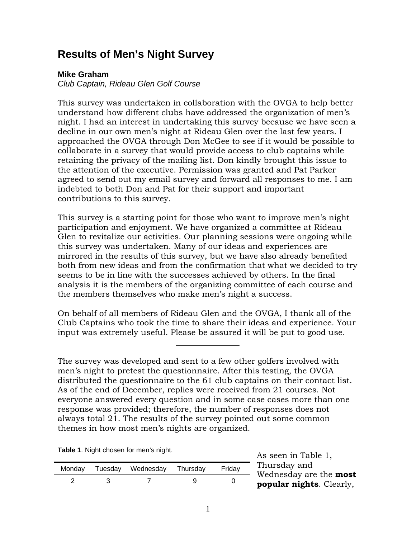## **Results of Men's Night Survey**

## **Mike Graham**

*Club Captain, Rideau Glen Golf Course* 

This survey was undertaken in collaboration with the OVGA to help better understand how different clubs have addressed the organization of men's night. I had an interest in undertaking this survey because we have seen a decline in our own men's night at Rideau Glen over the last few years. I approached the OVGA through Don McGee to see if it would be possible to collaborate in a survey that would provide access to club captains while retaining the privacy of the mailing list. Don kindly brought this issue to the attention of the executive. Permission was granted and Pat Parker agreed to send out my email survey and forward all responses to me. I am indebted to both Don and Pat for their support and important contributions to this survey.

This survey is a starting point for those who want to improve men's night participation and enjoyment. We have organized a committee at Rideau Glen to revitalize our activities. Our planning sessions were ongoing while this survey was undertaken. Many of our ideas and experiences are mirrored in the results of this survey, but we have also already benefited both from new ideas and from the confirmation that what we decided to try seems to be in line with the successes achieved by others. In the final analysis it is the members of the organizing committee of each course and the members themselves who make men's night a success.

On behalf of all members of Rideau Glen and the OVGA, I thank all of the Club Captains who took the time to share their ideas and experience. Your input was extremely useful. Please be assured it will be put to good use.

The survey was developed and sent to a few other golfers involved with men's night to pretest the questionnaire. After this testing, the OVGA distributed the questionnaire to the 61 club captains on their contact list. As of the end of December, replies were received from 21 courses. Not everyone answered every question and in some case cases more than one response was provided; therefore, the number of responses does not always total 21. The results of the survey pointed out some common themes in how most men's nights are organized.

**Table 1**. Night chosen for men's night.

|  | Monday Tuesday Wednesday Thursday | Fridav |
|--|-----------------------------------|--------|
|  |                                   |        |

As seen in Table 1, Thursday and Wednesday are the **most popular nights**. Clearly,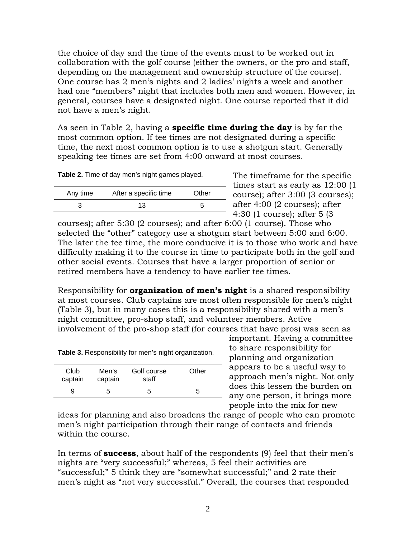the choice of day and the time of the events must to be worked out in collaboration with the golf course (either the owners, or the pro and staff, depending on the management and ownership structure of the course). One course has 2 men's nights and 2 ladies' nights a week and another had one "members" night that includes both men and women. However, in general, courses have a designated night. One course reported that it did not have a men's night.

As seen in Table 2, having a **specific time during the day** is by far the most common option. If tee times are not designated during a specific time, the next most common option is to use a shotgun start. Generally speaking tee times are set from 4:00 onward at most courses.

**Table 2.** Time of day men's night games played.

| Any time | After a specific time | Other |
|----------|-----------------------|-------|
|          | 13                    |       |

The timeframe for the specific times start as early as 12:00 (1 course); after 3:00 (3 courses); after 4:00 (2 courses); after 4:30 (1 course); after 5 (3

courses); after 5:30 (2 courses); and after 6:00 (1 course). Those who selected the "other" category use a shotgun start between 5:00 and 6:00. The later the tee time, the more conducive it is to those who work and have difficulty making it to the course in time to participate both in the golf and other social events. Courses that have a larger proportion of senior or retired members have a tendency to have earlier tee times.

Responsibility for **organization of men's night** is a shared responsibility at most courses. Club captains are most often responsible for men's night (Table 3), but in many cases this is a responsibility shared with a men's night committee, pro-shop staff, and volunteer members. Active involvement of the pro-shop staff (for courses that have pros) was seen as

| Club<br>captain | Men's<br>captain | Golf course<br>staff | Other |
|-----------------|------------------|----------------------|-------|
| 9               | h                |                      | :C    |
|                 |                  |                      |       |

important. Having a committee to share responsibility for planning and organization appears to be a useful way to approach men's night. Not only - does this lessen the burden on any one person, it brings more people into the mix for new

ideas for planning and also broadens the range of people who can promote men's night participation through their range of contacts and friends within the course.

In terms of **success**, about half of the respondents (9) feel that their men's nights are "very successful;" whereas, 5 feel their activities are "successful;" 5 think they are "somewhat successful;" and 2 rate their men's night as "not very successful." Overall, the courses that responded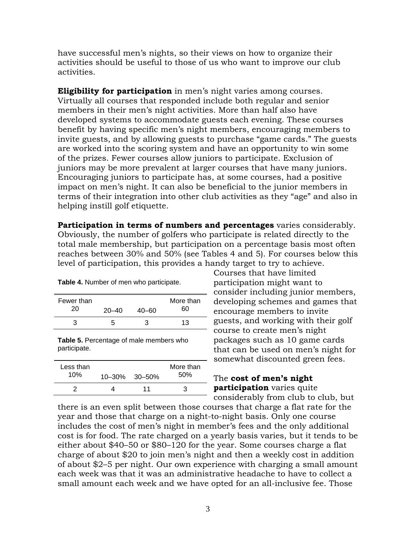have successful men's nights, so their views on how to organize their activities should be useful to those of us who want to improve our club activities.

**Eligibility for participation** in men's night varies among courses. Virtually all courses that responded include both regular and senior members in their men's night activities. More than half also have developed systems to accommodate guests each evening. These courses benefit by having specific men's night members, encouraging members to invite guests, and by allowing guests to purchase "game cards." The guests are worked into the scoring system and have an opportunity to win some of the prizes. Fewer courses allow juniors to participate. Exclusion of juniors may be more prevalent at larger courses that have many juniors. Encouraging juniors to participate has, at some courses, had a positive impact on men's night. It can also be beneficial to the junior members in terms of their integration into other club activities as they "age" and also in helping instill golf etiquette.

**Participation in terms of numbers and percentages** varies considerably. Obviously, the number of golfers who participate is related directly to the total male membership, but participation on a percentage basis most often reaches between 30% and 50% (see Tables 4 and 5). For courses below this level of participation, this provides a handy target to try to achieve.

**Table 4.** Number of men who participate.

| Fewer than<br>20 | $20 - 40$ | $40 - 60$ | More than<br>60 |
|------------------|-----------|-----------|-----------------|
| 3                | h         | 3         | 13              |

**Table 5.** Percentage of male members who participate.

| Less than<br>10% | $10 - 30\%$ 30 - 50% | More than<br>50% |
|------------------|----------------------|------------------|
|                  | 11                   | З                |

Courses that have limited participation might want to consider including junior members, developing schemes and games that encourage members to invite guests, and working with their golf course to create men's night packages such as 10 game cards that can be used on men's night for somewhat discounted green fees.

## The **cost of men's night participation** varies quite - considerably from club to club, but

there is an even split between those courses that charge a flat rate for the year and those that charge on a night-to-night basis. Only one course includes the cost of men's night in member's fees and the only additional cost is for food. The rate charged on a yearly basis varies, but it tends to be either about \$40–50 or \$80–120 for the year. Some courses charge a flat charge of about \$20 to join men's night and then a weekly cost in addition of about \$2–5 per night. Our own experience with charging a small amount each week was that it was an administrative headache to have to collect a small amount each week and we have opted for an all-inclusive fee. Those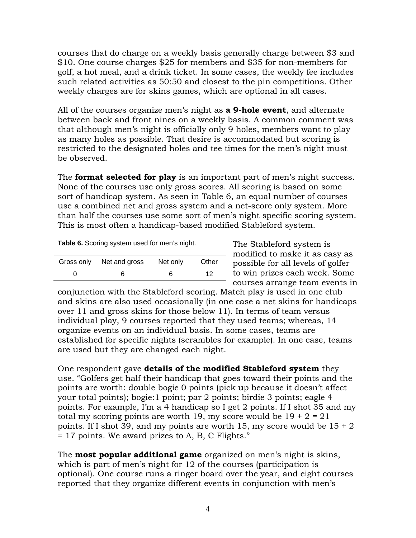courses that do charge on a weekly basis generally charge between \$3 and \$10. One course charges \$25 for members and \$35 for non-members for golf, a hot meal, and a drink ticket. In some cases, the weekly fee includes such related activities as 50:50 and closest to the pin competitions. Other weekly charges are for skins games, which are optional in all cases.

All of the courses organize men's night as **a 9-hole event**, and alternate between back and front nines on a weekly basis. A common comment was that although men's night is officially only 9 holes, members want to play as many holes as possible. That desire is accommodated but scoring is restricted to the designated holes and tee times for the men's night must be observed.

The **format selected for play** is an important part of men's night success. None of the courses use only gross scores. All scoring is based on some sort of handicap system. As seen in Table 6, an equal number of courses use a combined net and gross system and a net-score only system. More than half the courses use some sort of men's night specific scoring system. This is most often a handicap-based modified Stableford system.

**Table 6.** Scoring system used for men's night.

| Gross only Net and gross | Net only | Other |
|--------------------------|----------|-------|
|                          | ห        | 12    |

The Stableford system is modified to make it as easy as possible for all levels of golfer to win prizes each week. Some courses arrange team events in

conjunction with the Stableford scoring. Match play is used in one club and skins are also used occasionally (in one case a net skins for handicaps over 11 and gross skins for those below 11). In terms of team versus individual play, 9 courses reported that they used teams; whereas, 14 organize events on an individual basis. In some cases, teams are established for specific nights (scrambles for example). In one case, teams are used but they are changed each night.

One respondent gave **details of the modified Stableford system** they use. "Golfers get half their handicap that goes toward their points and the points are worth: double bogie 0 points (pick up because it doesn't affect your total points); bogie:1 point; par 2 points; birdie 3 points; eagle 4 points. For example, I'm a 4 handicap so I get 2 points. If I shot 35 and my total my scoring points are worth 19, my score would be  $19 + 2 = 21$ points. If I shot 39, and my points are worth 15, my score would be  $15 \div 2$ = 17 points. We award prizes to A, B, C Flights."

The **most popular additional game** organized on men's night is skins, which is part of men's night for 12 of the courses (participation is optional). One course runs a ringer board over the year, and eight courses reported that they organize different events in conjunction with men's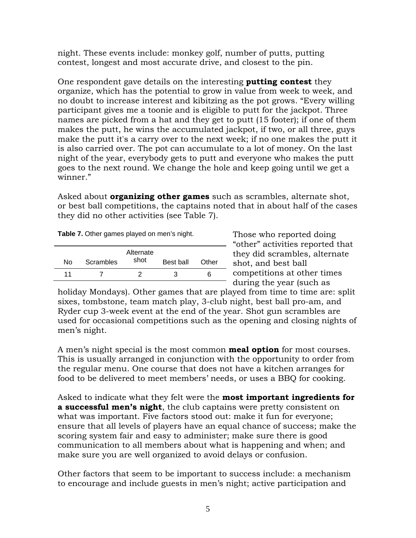night. These events include: monkey golf, number of putts, putting contest, longest and most accurate drive, and closest to the pin.

One respondent gave details on the interesting **putting contest** they organize, which has the potential to grow in value from week to week, and no doubt to increase interest and kibitzing as the pot grows. "Every willing participant gives me a toonie and is eligible to putt for the jackpot. Three names are picked from a hat and they get to putt (15 footer); if one of them makes the putt, he wins the accumulated jackpot, if two, or all three, guys make the putt it's a carry over to the next week; if no one makes the putt it is also carried over. The pot can accumulate to a lot of money. On the last night of the year, everybody gets to putt and everyone who makes the putt goes to the next round. We change the hole and keep going until we get a winner."

Asked about **organizing other games** such as scrambles, alternate shot, or best ball competitions, the captains noted that in about half of the cases they did no other activities (see Table 7).

|  |  | Table 7. Other games played on men's night. |
|--|--|---------------------------------------------|
|--|--|---------------------------------------------|

| N٥ | Scrambles | Alternate<br>shot | Best ball | Other |
|----|-----------|-------------------|-----------|-------|
| 11 |           |                   |           | h     |

Those who reported doing "other" activities reported that they did scrambles, alternate shot, and best ball competitions at other times during the year (such as

holiday Mondays). Other games that are played from time to time are: split sixes, tombstone, team match play, 3-club night, best ball pro-am, and Ryder cup 3-week event at the end of the year. Shot gun scrambles are used for occasional competitions such as the opening and closing nights of men's night.

A men's night special is the most common **meal option** for most courses. This is usually arranged in conjunction with the opportunity to order from the regular menu. One course that does not have a kitchen arranges for food to be delivered to meet members' needs, or uses a BBQ for cooking.

Asked to indicate what they felt were the **most important ingredients for a successful men's night**, the club captains were pretty consistent on what was important. Five factors stood out: make it fun for everyone; ensure that all levels of players have an equal chance of success; make the scoring system fair and easy to administer; make sure there is good communication to all members about what is happening and when; and make sure you are well organized to avoid delays or confusion.

Other factors that seem to be important to success include: a mechanism to encourage and include guests in men's night; active participation and